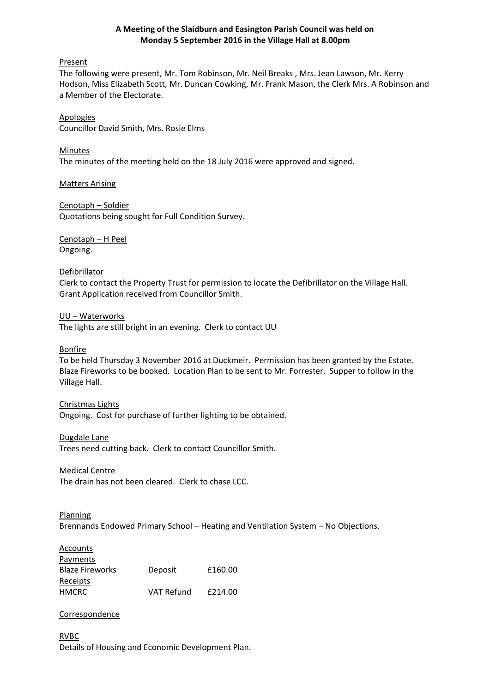## **A Meeting of the Slaidburn and Easington Parish Council was held on Monday 5 September 2016 in the Village Hall at 8.00pm**

## Present

The following were present, Mr. Tom Robinson, Mr. Neil Breaks , Mrs. Jean Lawson, Mr. Kerry Hodson, Miss Elizabeth Scott, Mr. Duncan Cowking, Mr. Frank Mason, the Clerk Mrs. A Robinson and a Member of the Electorate.

Apologies Councillor David Smith, Mrs. Rosie Elms

Minutes The minutes of the meeting held on the 18 July 2016 were approved and signed.

Matters Arising

Cenotaph – Soldier Quotations being sought for Full Condition Survey.

Cenotaph – H Peel Ongoing.

## **Defibrillator**

Clerk to contact the Property Trust for permission to locate the Defibrillator on the Village Hall. Grant Application received from Councillor Smith.

## UU – Waterworks

The lights are still bright in an evening. Clerk to contact UU

Bonfire

To be held Thursday 3 November 2016 at Duckmeir. Permission has been granted by the Estate. Blaze Fireworks to be booked. Location Plan to be sent to Mr. Forrester. Supper to follow in the Village Hall.

# Christmas Lights

Ongoing. Cost for purchase of further lighting to be obtained.

#### Dugdale Lane

Trees need cutting back. Clerk to contact Councillor Smith.

Medical Centre

The drain has not been cleared. Clerk to chase LCC.

Planning Brennands Endowed Primary School – Heating and Ventilation System – No Objections.

| Accounts               |                   |         |
|------------------------|-------------------|---------|
| Payments               |                   |         |
| <b>Blaze Fireworks</b> | Deposit           | £160.00 |
| Receipts               |                   |         |
| <b>HMCRC</b>           | <b>VAT Refund</b> | £214.00 |

# **Correspondence**

RVBC Details of Housing and Economic Development Plan.